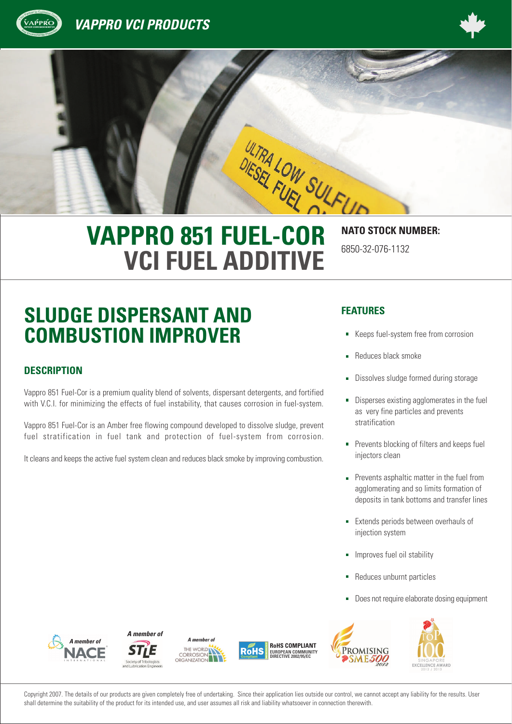





# **VCI FUEL ADDITIVE**

6850-32-076-1132

## **SLUDGE DISPERSANT AND COMBUSTION IMPROVER**

#### **DESCRIPTION**

<sup>A</sup><sup>n</sup><sup>d</sup> <sup>E</sup>nvironmenta<sup>l</sup> <sup>P</sup>rotectio<sup>n</sup>

Vappro 851 Fuel-Cor is a premium quality blend of solvents, dispersant detergents, and fortified with V.C.I. for minimizing the effects of fuel instability, that causes corrosion in fuel-system.

Vappro 851 Fuel-Cor is an Amber free flowing compound developed to dissolve sludge, prevent fuel stratification in fuel tank and protection of fuel-system from corrosion.

It cleans and keeps the active fuel system clean and reduces black smoke by improving combustion.

#### **FEATURES**

- Keeps fuel-system free from corrosion
- Reduces black smoke
- Dissolves sludge formed during storage
- Disperses existing agglomerates in the fuel as very fine particles and prevents stratification
- **Prevents blocking of filters and keeps fuel** injectors clean
- **Prevents asphaltic matter in the fuel from** agglomerating and so limits formation of deposits in tank bottoms and transfer lines
- **Extends periods between overhauls of** injection system
- Improves fuel oil stability
- Reduces unburnt particles
- Does not require elaborate dosing equipment

*A member of*







Promising



Copyright 2007. The details of our products are given completely free of undertaking. Since their application lies outside our control, we cannot accept any liability for the results. User shall determine the suitability of the product for its intended use, and user assumes all risk and liability whatsoever in connection therewith.